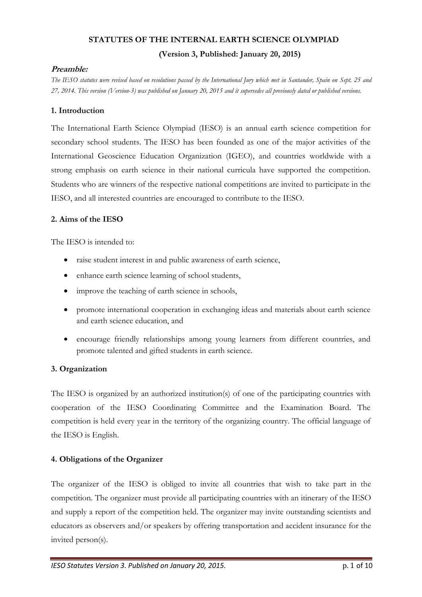## **STATUTES OF THE INTERNAL EARTH SCIENCE OLYMPIAD (Version 3, Published: January 20, 2015)**

## **Preamble:**

*The IESO statutes were revised based on resolutions passed by the International Jury which met in Santander, Spain on Sept. 25 and 27, 2014. This version (Version-3) was published on January 20, 2015 and it supersedes all previously dated or published versions.*

## **1. Introduction**

The International Earth Science Olympiad (IESO) is an annual earth science competition for secondary school students. The IESO has been founded as one of the major activities of the International Geoscience Education Organization (IGEO), and countries worldwide with a strong emphasis on earth science in their national curricula have supported the competition. Students who are winners of the respective national competitions are invited to participate in the IESO, and all interested countries are encouraged to contribute to the IESO.

## **2. Aims of the IESO**

The IESO is intended to:

- raise student interest in and public awareness of earth science,
- enhance earth science learning of school students,
- improve the teaching of earth science in schools,
- promote international cooperation in exchanging ideas and materials about earth science and earth science education, and
- encourage friendly relationships among young learners from different countries, and promote talented and gifted students in earth science.

## **3. Organization**

The IESO is organized by an authorized institution(s) of one of the participating countries with cooperation of the IESO Coordinating Committee and the Examination Board. The competition is held every year in the territory of the organizing country. The official language of the IESO is English.

## **4. Obligations of the Organizer**

The organizer of the IESO is obliged to invite all countries that wish to take part in the competition. The organizer must provide all participating countries with an itinerary of the IESO and supply a report of the competition held. The organizer may invite outstanding scientists and educators as observers and/or speakers by offering transportation and accident insurance for the invited person(s).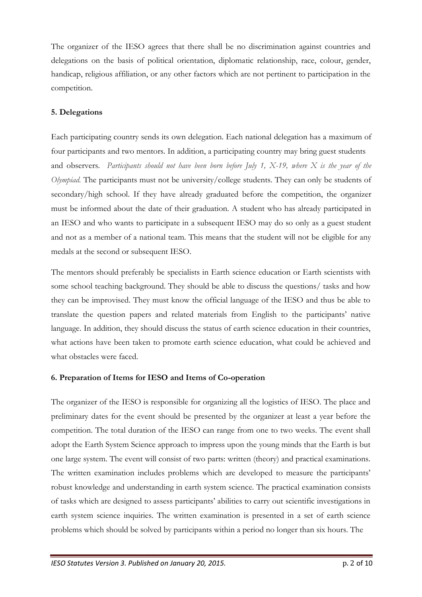The organizer of the IESO agrees that there shall be no discrimination against countries and delegations on the basis of political orientation, diplomatic relationship, race, colour, gender, handicap, religious affiliation, or any other factors which are not pertinent to participation in the competition.

## **5. Delegations**

Each participating country sends its own delegation. Each national delegation has a maximum of four participants and two mentors. In addition, a participating country may bring guest students and observers. *Participants should not have been born before July 1, X-19, where X is the year of the Olympiad.* The participants must not be university/college students. They can only be students of secondary/high school. If they have already graduated before the competition, the organizer must be informed about the date of their graduation. A student who has already participated in an IESO and who wants to participate in a subsequent IESO may do so only as a guest student and not as a member of a national team. This means that the student will not be eligible for any medals at the second or subsequent IESO.

The mentors should preferably be specialists in Earth science education or Earth scientists with some school teaching background. They should be able to discuss the questions/ tasks and how they can be improvised. They must know the official language of the IESO and thus be able to translate the question papers and related materials from English to the participants' native language. In addition, they should discuss the status of earth science education in their countries, what actions have been taken to promote earth science education, what could be achieved and what obstacles were faced.

## **6. Preparation of Items for IESO and Items of Co-operation**

The organizer of the IESO is responsible for organizing all the logistics of IESO. The place and preliminary dates for the event should be presented by the organizer at least a year before the competition. The total duration of the IESO can range from one to two weeks. The event shall adopt the Earth System Science approach to impress upon the young minds that the Earth is but one large system. The event will consist of two parts: written (theory) and practical examinations. The written examination includes problems which are developed to measure the participants' robust knowledge and understanding in earth system science. The practical examination consists of tasks which are designed to assess participants' abilities to carry out scientific investigations in earth system science inquiries. The written examination is presented in a set of earth science problems which should be solved by participants within a period no longer than six hours. The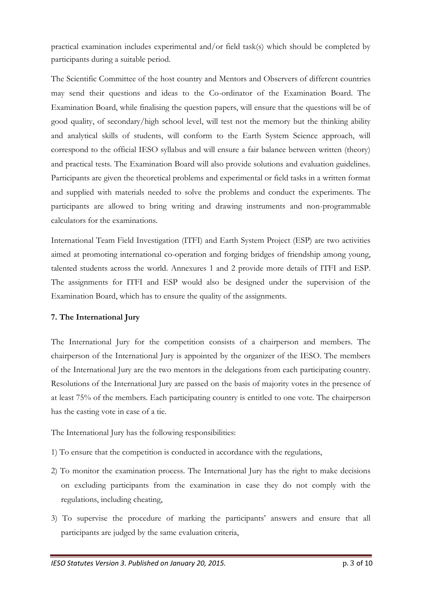practical examination includes experimental and/or field task(s) which should be completed by participants during a suitable period.

The Scientific Committee of the host country and Mentors and Observers of different countries may send their questions and ideas to the Co-ordinator of the Examination Board. The Examination Board, while finalising the question papers, will ensure that the questions will be of good quality, of secondary/high school level, will test not the memory but the thinking ability and analytical skills of students, will conform to the Earth System Science approach, will correspond to the official IESO syllabus and will ensure a fair balance between written (theory) and practical tests. The Examination Board will also provide solutions and evaluation guidelines. Participants are given the theoretical problems and experimental or field tasks in a written format and supplied with materials needed to solve the problems and conduct the experiments. The participants are allowed to bring writing and drawing instruments and non-programmable calculators for the examinations.

International Team Field Investigation (ITFI) and Earth System Project (ESP) are two activities aimed at promoting international co-operation and forging bridges of friendship among young, talented students across the world. Annexures 1 and 2 provide more details of ITFI and ESP. The assignments for ITFI and ESP would also be designed under the supervision of the Examination Board, which has to ensure the quality of the assignments.

## **7. The International Jury**

The International Jury for the competition consists of a chairperson and members. The chairperson of the International Jury is appointed by the organizer of the IESO. The members of the International Jury are the two mentors in the delegations from each participating country. Resolutions of the International Jury are passed on the basis of majority votes in the presence of at least 75% of the members. Each participating country is entitled to one vote. The chairperson has the casting vote in case of a tie.

The International Jury has the following responsibilities:

- 1) To ensure that the competition is conducted in accordance with the regulations,
- 2) To monitor the examination process. The International Jury has the right to make decisions on excluding participants from the examination in case they do not comply with the regulations, including cheating,
- 3) To supervise the procedure of marking the participants' answers and ensure that all participants are judged by the same evaluation criteria,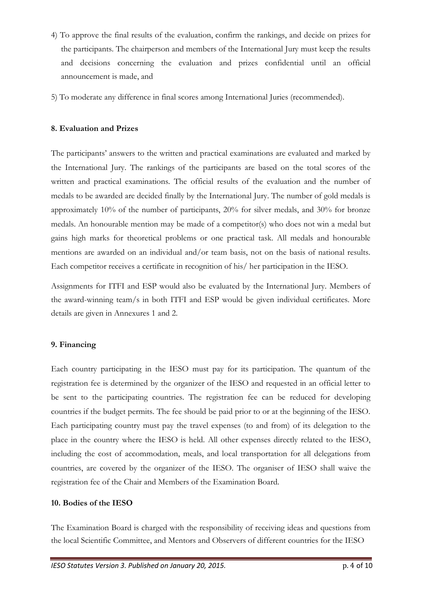- 4) To approve the final results of the evaluation, confirm the rankings, and decide on prizes for the participants. The chairperson and members of the International Jury must keep the results and decisions concerning the evaluation and prizes confidential until an official announcement is made, and
- 5) To moderate any difference in final scores among International Juries (recommended).

## **8. Evaluation and Prizes**

The participants' answers to the written and practical examinations are evaluated and marked by the International Jury. The rankings of the participants are based on the total scores of the written and practical examinations. The official results of the evaluation and the number of medals to be awarded are decided finally by the International Jury. The number of gold medals is approximately 10% of the number of participants, 20% for silver medals, and 30% for bronze medals. An honourable mention may be made of a competitor(s) who does not win a medal but gains high marks for theoretical problems or one practical task. All medals and honourable mentions are awarded on an individual and/or team basis, not on the basis of national results. Each competitor receives a certificate in recognition of his/ her participation in the IESO.

Assignments for ITFI and ESP would also be evaluated by the International Jury. Members of the award-winning team/s in both ITFI and ESP would be given individual certificates. More details are given in Annexures 1 and 2.

## **9. Financing**

Each country participating in the IESO must pay for its participation. The quantum of the registration fee is determined by the organizer of the IESO and requested in an official letter to be sent to the participating countries. The registration fee can be reduced for developing countries if the budget permits. The fee should be paid prior to or at the beginning of the IESO. Each participating country must pay the travel expenses (to and from) of its delegation to the place in the country where the IESO is held. All other expenses directly related to the IESO, including the cost of accommodation, meals, and local transportation for all delegations from countries, are covered by the organizer of the IESO. The organiser of IESO shall waive the registration fee of the Chair and Members of the Examination Board.

## **10. Bodies of the IESO**

The Examination Board is charged with the responsibility of receiving ideas and questions from the local Scientific Committee, and Mentors and Observers of different countries for the IESO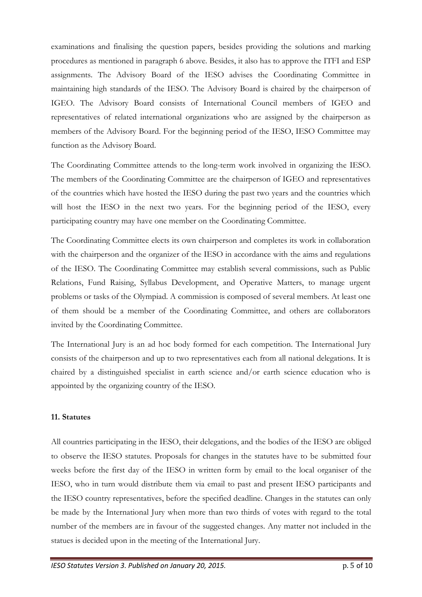examinations and finalising the question papers, besides providing the solutions and marking procedures as mentioned in paragraph 6 above. Besides, it also has to approve the ITFI and ESP assignments. The Advisory Board of the IESO advises the Coordinating Committee in maintaining high standards of the IESO. The Advisory Board is chaired by the chairperson of IGEO. The Advisory Board consists of International Council members of IGEO and representatives of related international organizations who are assigned by the chairperson as members of the Advisory Board. For the beginning period of the IESO, IESO Committee may function as the Advisory Board.

The Coordinating Committee attends to the long-term work involved in organizing the IESO. The members of the Coordinating Committee are the chairperson of IGEO and representatives of the countries which have hosted the IESO during the past two years and the countries which will host the IESO in the next two years. For the beginning period of the IESO, every participating country may have one member on the Coordinating Committee.

The Coordinating Committee elects its own chairperson and completes its work in collaboration with the chairperson and the organizer of the IESO in accordance with the aims and regulations of the IESO. The Coordinating Committee may establish several commissions, such as Public Relations, Fund Raising, Syllabus Development, and Operative Matters, to manage urgent problems or tasks of the Olympiad. A commission is composed of several members. At least one of them should be a member of the Coordinating Committee, and others are collaborators invited by the Coordinating Committee.

The International Jury is an ad hoc body formed for each competition. The International Jury consists of the chairperson and up to two representatives each from all national delegations. It is chaired by a distinguished specialist in earth science and/or earth science education who is appointed by the organizing country of the IESO.

#### **11. Statutes**

All countries participating in the IESO, their delegations, and the bodies of the IESO are obliged to observe the IESO statutes. Proposals for changes in the statutes have to be submitted four weeks before the first day of the IESO in written form by email to the local organiser of the IESO, who in turn would distribute them via email to past and present IESO participants and the IESO country representatives, before the specified deadline. Changes in the statutes can only be made by the International Jury when more than two thirds of votes with regard to the total number of the members are in favour of the suggested changes. Any matter not included in the statues is decided upon in the meeting of the International Jury.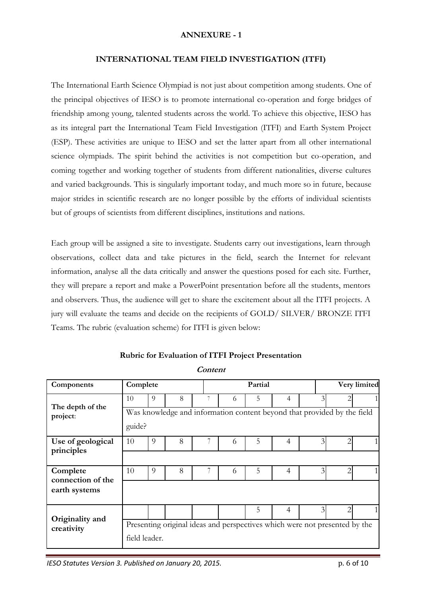#### **ANNEXURE - 1**

#### **INTERNATIONAL TEAM FIELD INVESTIGATION (ITFI)**

The International Earth Science Olympiad is not just about competition among students. One of the principal objectives of IESO is to promote international co-operation and forge bridges of friendship among young, talented students across the world. To achieve this objective, IESO has as its integral part the International Team Field Investigation (ITFI) and Earth System Project (ESP). These activities are unique to IESO and set the latter apart from all other international science olympiads. The spirit behind the activities is not competition but co-operation, and coming together and working together of students from different nationalities, diverse cultures and varied backgrounds. This is singularly important today, and much more so in future, because major strides in scientific research are no longer possible by the efforts of individual scientists but of groups of scientists from different disciplines, institutions and nations.

Each group will be assigned a site to investigate. Students carry out investigations, learn through observations, collect data and take pictures in the field, search the Internet for relevant information, analyse all the data critically and answer the questions posed for each site. Further, they will prepare a report and make a PowerPoint presentation before all the students, mentors and observers. Thus, the audience will get to share the excitement about all the ITFI projects. A jury will evaluate the teams and decide on the recipients of GOLD/ SILVER/ BRONZE ITFI Teams. The rubric (evaluation scheme) for ITFI is given below:

| Components                      | Complete      |   |   |   |   | Partial |                |                | Very limited                                                               |  |
|---------------------------------|---------------|---|---|---|---|---------|----------------|----------------|----------------------------------------------------------------------------|--|
|                                 | 10            | 9 | 8 | 7 | 6 | 5       | 4              | $\overline{3}$ |                                                                            |  |
| The depth of the<br>project:    |               |   |   |   |   |         |                |                | Was knowledge and information content beyond that provided by the field    |  |
|                                 | guide?        |   |   |   |   |         |                |                |                                                                            |  |
| Use of geological<br>principles | 10            | 9 | 8 |   | 6 | 5       | $\overline{4}$ | $\overline{3}$ | 2                                                                          |  |
|                                 |               |   |   |   |   |         |                |                |                                                                            |  |
| Complete<br>connection of the   | 10            | 9 | 8 |   | 6 | 5       | 4              | $\overline{3}$ |                                                                            |  |
| earth systems                   |               |   |   |   |   |         |                |                |                                                                            |  |
|                                 |               |   |   |   |   | 5       | 4              | $\overline{3}$ |                                                                            |  |
| Originality and<br>creativity   |               |   |   |   |   |         |                |                | Presenting original ideas and perspectives which were not presented by the |  |
|                                 | field leader. |   |   |   |   |         |                |                |                                                                            |  |

**Rubric for Evaluation of ITFI Project Presentation**

**Content**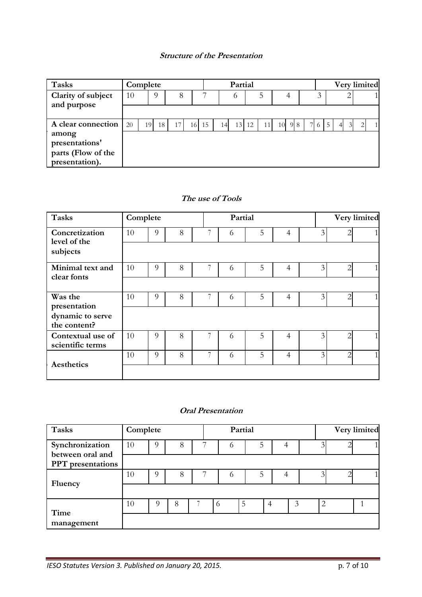## **Structure of the Presentation**

| <b>Tasks</b>                                                    | Complete            |    |    |    |           |    |    | Partial |    |    |        |    | Very limited                           |                          |  |
|-----------------------------------------------------------------|---------------------|----|----|----|-----------|----|----|---------|----|----|--------|----|----------------------------------------|--------------------------|--|
| Clarity of subject<br>and purpose                               | 10<br>$\Omega$<br>8 |    |    |    |           |    |    | $\circ$ |    | 5  | 4      |    |                                        |                          |  |
|                                                                 |                     |    |    |    |           |    |    |         |    |    |        |    |                                        |                          |  |
| A clear connection                                              | 20                  | 19 | 18 | 17 | <b>16</b> | 15 | 14 | 13      | 12 | 11 | 10 9 8 | 76 | 5 <sup>5</sup><br>$\overline{3}$<br>41 | $\mathfrak{D}_{1}^{(1)}$ |  |
| among<br>presentations'<br>parts (Flow of the<br>presentation). |                     |    |    |    |           |    |    |         |    |    |        |    |                                        |                          |  |

## **The use of Tools**

| <b>Tasks</b>                                     | Complete |          |   |   | Partial |   |                |   |                | Very limited |
|--------------------------------------------------|----------|----------|---|---|---------|---|----------------|---|----------------|--------------|
| Concretization                                   | 10       | $\Omega$ | 8 | 7 | 6       | 5 | 4              | 3 | 2              |              |
| level of the<br>subjects                         |          |          |   |   |         |   |                |   |                |              |
| Minimal text and<br>clear fonts                  | 10       | 9        | 8 | 7 | 6       | 5 | 4              | 3 | $\overline{2}$ |              |
|                                                  |          |          |   |   |         |   |                |   |                |              |
| Was the                                          | 10       | 9        | 8 |   | 6       | 5 | 4              | 3 | 2              |              |
| presentation<br>dynamic to serve<br>the content? |          |          |   |   |         |   |                |   |                |              |
| Contextual use of<br>scientific terms            | 10       | 9        | 8 |   | 6       | 5 | 4              | 3 |                |              |
| Aesthetics                                       | 10       | $\Omega$ | 8 | 7 | 6       | 5 | $\overline{4}$ | 3 | $\overline{2}$ |              |
|                                                  |          |          |   |   |         |   |                |   |                |              |

## **Oral Presentation**

| <b>Tasks</b>                        | Complete |   |   | Partial |   |   |                | Very limited |
|-------------------------------------|----------|---|---|---------|---|---|----------------|--------------|
| Synchronization<br>between oral and | 10       | 9 | 8 | 6       | 5 |   |                |              |
| <b>PPT</b> presentations            |          |   |   |         |   |   |                |              |
| Fluency                             | 10       | 9 | 8 | 6       | 5 |   |                |              |
|                                     |          |   |   |         |   |   |                |              |
| Time                                | 10       |   | 8 | .5<br>6 | 4 | 3 | $\overline{2}$ |              |
| management                          |          |   |   |         |   |   |                |              |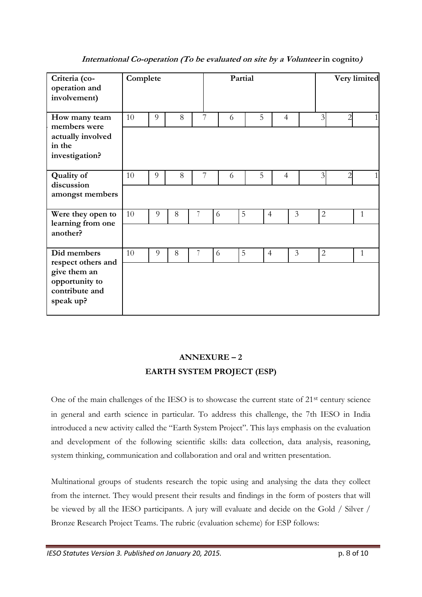| Criteria (co-<br>operation and<br>involvement)                                                     | Complete |   |   |   |   | Partial |                |                |   |                |                | Very limited |
|----------------------------------------------------------------------------------------------------|----------|---|---|---|---|---------|----------------|----------------|---|----------------|----------------|--------------|
| How many team<br>members were<br>actually involved<br>in the<br>investigation?                     | 10       | 9 | 8 | 7 | 6 |         | 5              | $\overline{4}$ |   | $\overline{3}$ | $\overline{2}$ |              |
| <b>Quality of</b><br>discussion<br>amongst members                                                 | 10       | 9 | 8 | 7 | 6 |         | 5              | $\overline{4}$ |   | $\overline{3}$ | 2              |              |
| Were they open to<br>learning from one<br>another?                                                 | 10       | 9 | 8 |   | 6 | 5       | $\overline{4}$ |                | 3 | $\overline{2}$ |                | $\mathbf{1}$ |
| Did members<br>respect others and<br>give them an<br>opportunity to<br>contribute and<br>speak up? | 10       | 9 | 8 | 7 | 6 | 5       | $\overline{4}$ |                | 3 | $\overline{2}$ |                | $\mathbf{1}$ |

**International Co-operation (To be evaluated on site by a Volunteer in cognito)**

## **ANNEXURE – 2 EARTH SYSTEM PROJECT (ESP)**

One of the main challenges of the IESO is to showcase the current state of 21st century science in general and earth science in particular. To address this challenge, the 7th IESO in India introduced a new activity called the "Earth System Project". This lays emphasis on the evaluation and development of the following scientific skills: data collection, data analysis, reasoning, system thinking, communication and collaboration and oral and written presentation.

Multinational groups of students research the topic using and analysing the data they collect from the internet. They would present their results and findings in the form of posters that will be viewed by all the IESO participants. A jury will evaluate and decide on the Gold / Silver / Bronze Research Project Teams. The rubric (evaluation scheme) for ESP follows: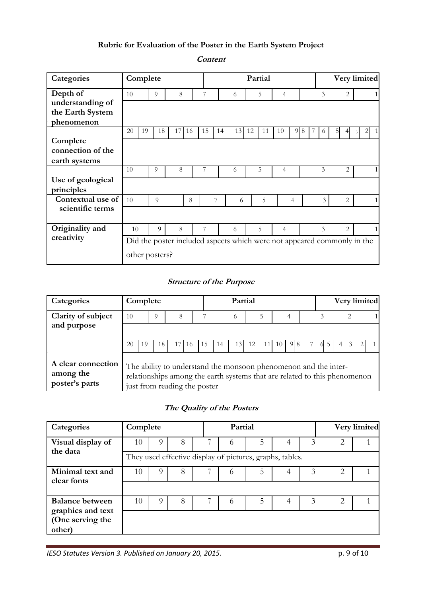## **Rubric for Evaluation of the Poster in the Earth System Project**

**Categories Complete Partial Very limited Depth of** 10 9 8 7 6 5 4 3 2 1 **understanding of the Earth System phenomenon** 20 19 18 17 16 15 14 13 12 11 10 9 8 7 6 5 4 <sup>3</sup> 2 1 **Complete connection of the earth systems** 10 9 8 7 6 5 4 3 2 1 **Use of geological principles Contextual use of**  $\begin{bmatrix} 10 & 9 & 8 & 7 & 6 & 5 & 4 & 3 & 2 & 1 \end{bmatrix}$ **scientific terms Originality and** 10 9 8 7 6 5 4 3 2<br> **Creativity** Did the poster included aspects which were not appeared commonly Did the poster included aspects which were not appeared commonly in the other posters?

## **Content**

## **Structure of the Purpose**

| Categories                                        | Complete |    |          |                                                                                                                                                                              |     |    |    | Partial |    |           |    |   |  |  | Very limited |
|---------------------------------------------------|----------|----|----------|------------------------------------------------------------------------------------------------------------------------------------------------------------------------------|-----|----|----|---------|----|-----------|----|---|--|--|--------------|
| Clarity of subject<br>and purpose                 | 10       |    | $\Omega$ | 8                                                                                                                                                                            |     |    |    | 6       |    |           |    | 4 |  |  |              |
|                                                   |          |    |          |                                                                                                                                                                              |     |    |    |         |    |           |    |   |  |  |              |
|                                                   | 20       | 19 | 18.      |                                                                                                                                                                              | 16. | 15 | 14 | 13.     | 12 | $\vert$ 1 | 10 |   |  |  |              |
| A clear connection<br>among the<br>poster's parts |          |    |          | The ability to understand the monsoon phenomenon and the inter-<br>relationships among the earth systems that are related to this phenomenon<br>just from reading the poster |     |    |    |         |    |           |    |   |  |  |              |

## **The Quality of the Posters**

| Categories                            | Complete |    |   | Partial |                                                          |   |   |   | Very limited |
|---------------------------------------|----------|----|---|---------|----------------------------------------------------------|---|---|---|--------------|
| Visual display of<br>the data         | 10       |    | 8 | O       | 5                                                        |   | 3 |   |              |
|                                       |          |    |   |         | They used effective display of pictures, graphs, tables. |   |   |   |              |
| Minimal text and<br>clear fonts       | 10       | 3  |   |         |                                                          |   |   |   |              |
|                                       |          |    |   |         |                                                          |   |   |   |              |
| <b>Balance between</b>                | 10       | O) | 8 | $\circ$ | 5                                                        | 4 | 3 | 2 |              |
| graphics and text<br>(One serving the |          |    |   |         |                                                          |   |   |   |              |
| other)                                |          |    |   |         |                                                          |   |   |   |              |

*IESO Statutes Version 3. Published on January 20, 2015.* **p. 9 cm and all p. 9 of 10** p. 9 of 10